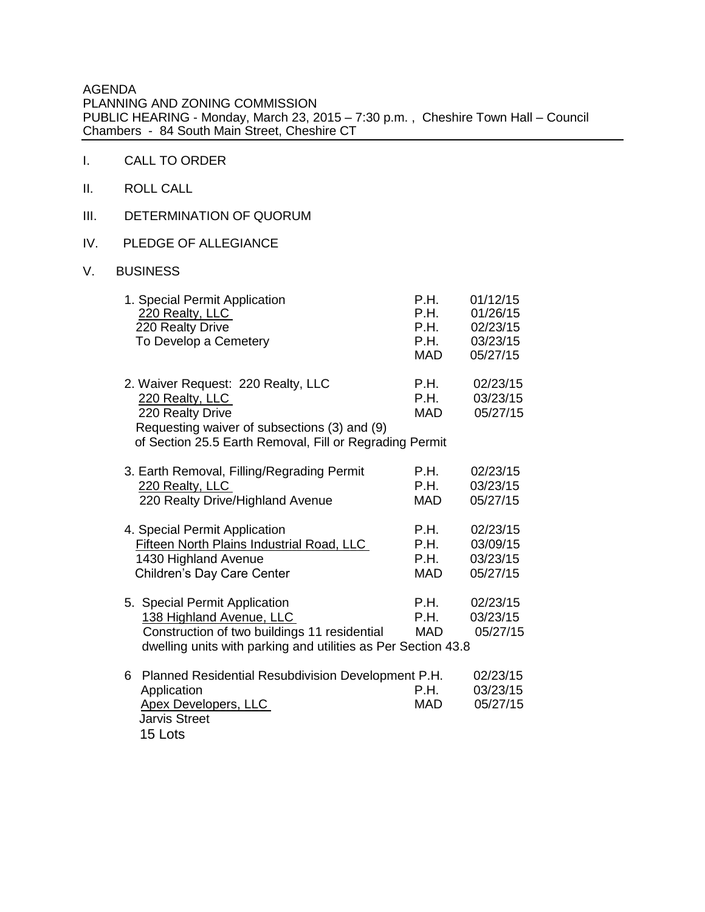AGENDA PLANNING AND ZONING COMMISSION PUBLIC HEARING - Monday, March 23, 2015 – 7:30 p.m. , Cheshire Town Hall – Council Chambers - 84 South Main Street, Cheshire CT

- I. CALL TO ORDER
- II. ROLL CALL
- III. DETERMINATION OF QUORUM
- IV. PLEDGE OF ALLEGIANCE
- V. BUSINESS

|   | 1. Special Permit Application<br>220 Realty, LLC<br>220 Realty Drive<br>To Develop a Cemetery                                                                                        | P.H.<br><b>P.H.</b><br>P.H.<br>P.H.<br><b>MAD</b> | 01/12/15<br>01/26/15<br>02/23/15<br>03/23/15<br>05/27/15 |
|---|--------------------------------------------------------------------------------------------------------------------------------------------------------------------------------------|---------------------------------------------------|----------------------------------------------------------|
|   | 2. Waiver Request: 220 Realty, LLC<br>220 Realty, LLC<br>220 Realty Drive<br>Requesting waiver of subsections (3) and (9)<br>of Section 25.5 Earth Removal, Fill or Regrading Permit | P.H.<br><b>P.H.</b><br><b>MAD</b>                 | 02/23/15<br>03/23/15<br>05/27/15                         |
|   | 3. Earth Removal, Filling/Regrading Permit<br>220 Realty, LLC<br>220 Realty Drive/Highland Avenue                                                                                    | <b>P.H.</b><br>P.H.<br><b>MAD</b>                 | 02/23/15<br>03/23/15<br>05/27/15                         |
|   | 4. Special Permit Application<br><b>Fifteen North Plains Industrial Road, LLC</b><br>1430 Highland Avenue<br>Children's Day Care Center                                              | P.H.<br>P.H.<br>P.H.<br><b>MAD</b>                | 02/23/15<br>03/09/15<br>03/23/15<br>05/27/15             |
|   | 5. Special Permit Application<br>138 Highland Avenue, LLC<br>Construction of two buildings 11 residential<br>dwelling units with parking and utilities as Per Section 43.8           | P.H.<br>P.H.<br><b>MAD</b>                        | 02/23/15<br>03/23/15<br>05/27/15                         |
| 6 | <b>Planned Residential Resubdivision Development P.H.</b><br>Application<br><b>Apex Developers, LLC</b><br><b>Jarvis Street</b><br>15 Lots                                           | P.H.<br><b>MAD</b>                                | 02/23/15<br>03/23/15<br>05/27/15                         |